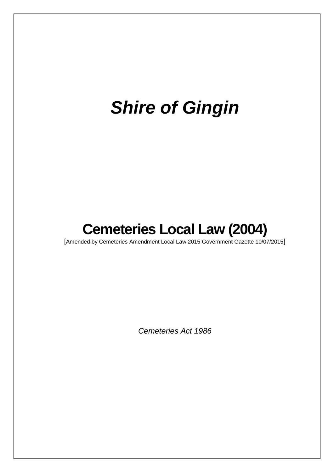# *Shire of Gingin*

## **Cemeteries Local Law (2004)**

[Amended by Cemeteries Amendment Local Law 2015 Government Gazette 10/07/2015]

*Cemeteries Act 1986*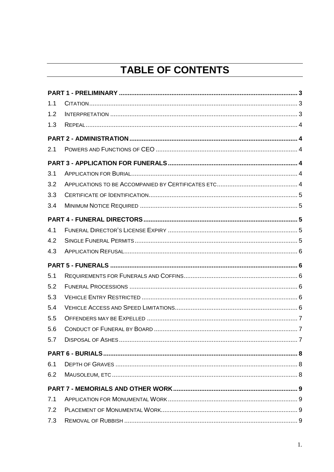### **TABLE OF CONTENTS**

| 1.1 |  |
|-----|--|
| 1.2 |  |
| 1.3 |  |
|     |  |
| 2.1 |  |
|     |  |
| 3.1 |  |
| 3.2 |  |
| 3.3 |  |
| 3.4 |  |
|     |  |
| 4.1 |  |
| 4.2 |  |
| 4.3 |  |
|     |  |
|     |  |
| 5.1 |  |
| 5.2 |  |
| 5.3 |  |
| 5.4 |  |
| 5.5 |  |
| 5.6 |  |
| 5.7 |  |
|     |  |
| 6.1 |  |
| 6.2 |  |
|     |  |
| 7.1 |  |
| 7.2 |  |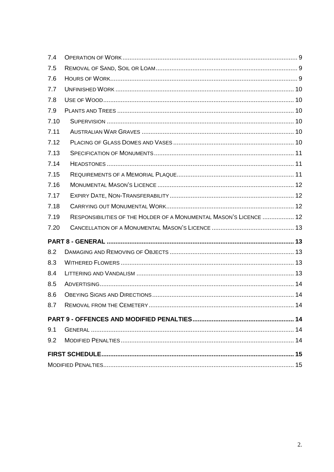| 7.4  |                                                                    |  |
|------|--------------------------------------------------------------------|--|
| 7.5  |                                                                    |  |
| 7.6  |                                                                    |  |
| 7.7  |                                                                    |  |
| 7.8  |                                                                    |  |
| 7.9  |                                                                    |  |
| 7.10 |                                                                    |  |
| 7.11 |                                                                    |  |
| 7.12 |                                                                    |  |
| 7.13 |                                                                    |  |
| 7.14 |                                                                    |  |
| 7.15 |                                                                    |  |
| 7.16 |                                                                    |  |
| 7.17 |                                                                    |  |
| 7.18 |                                                                    |  |
|      |                                                                    |  |
| 7.19 | RESPONSIBILITIES OF THE HOLDER OF A MONUMENTAL MASON'S LICENCE  12 |  |
| 7.20 |                                                                    |  |
|      |                                                                    |  |
| 8.2  |                                                                    |  |
| 8.3  |                                                                    |  |
| 8.4  |                                                                    |  |
| 8.5  |                                                                    |  |
| 8.6  |                                                                    |  |
| 8.7  |                                                                    |  |
|      |                                                                    |  |
| 9.1  |                                                                    |  |
| 9.2  |                                                                    |  |
|      |                                                                    |  |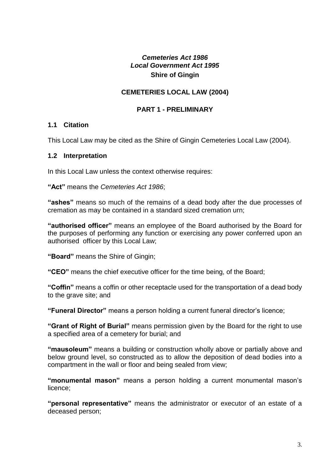#### *Cemeteries Act 1986 Local Government Act 1995* **Shire of Gingin**

#### **CEMETERIES LOCAL LAW (2004)**

#### **PART 1 - PRELIMINARY**

#### <span id="page-3-1"></span><span id="page-3-0"></span>**1.1 Citation**

This Local Law may be cited as the Shire of Gingin Cemeteries Local Law (2004).

#### <span id="page-3-2"></span>**1.2 Interpretation**

In this Local Law unless the context otherwise requires:

**"Act"** means the *Cemeteries Act 1986*;

**"ashes"** means so much of the remains of a dead body after the due processes of cremation as may be contained in a standard sized cremation urn;

**"authorised officer"** means an employee of the Board authorised by the Board for the purposes of performing any function or exercising any power conferred upon an authorised officer by this Local Law;

**"Board"** means the Shire of Gingin;

**"CEO"** means the chief executive officer for the time being, of the Board;

**"Coffin"** means a coffin or other receptacle used for the transportation of a dead body to the grave site; and

**"Funeral Director"** means a person holding a current funeral director's licence;

**"Grant of Right of Burial"** means permission given by the Board for the right to use a specified area of a cemetery for burial; and

**"mausoleum"** means a building or construction wholly above or partially above and below ground level, so constructed as to allow the deposition of dead bodies into a compartment in the wall or floor and being sealed from view;

**"monumental mason"** means a person holding a current monumental mason's licence;

**"personal representative"** means the administrator or executor of an estate of a deceased person;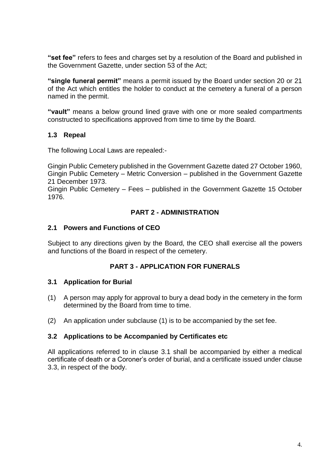**"set fee"** refers to fees and charges set by a resolution of the Board and published in the Government Gazette, under section 53 of the Act;

**"single funeral permit"** means a permit issued by the Board under section 20 or 21 of the Act which entitles the holder to conduct at the cemetery a funeral of a person named in the permit.

**"vault"** means a below ground lined grave with one or more sealed compartments constructed to specifications approved from time to time by the Board.

#### <span id="page-4-0"></span>**1.3 Repeal**

The following Local Laws are repealed:-

Gingin Public Cemetery published in the Government Gazette dated 27 October 1960, Gingin Public Cemetery – Metric Conversion – published in the Government Gazette 21 December 1973.

Gingin Public Cemetery – Fees – published in the Government Gazette 15 October 1976.

#### **PART 2 - ADMINISTRATION**

#### <span id="page-4-2"></span><span id="page-4-1"></span>**2.1 Powers and Functions of CEO**

Subject to any directions given by the Board, the CEO shall exercise all the powers and functions of the Board in respect of the cemetery.

#### **PART 3 - APPLICATION FOR FUNERALS**

#### <span id="page-4-4"></span><span id="page-4-3"></span>**3.1 Application for Burial**

- (1) A person may apply for approval to bury a dead body in the cemetery in the form determined by the Board from time to time.
- (2) An application under subclause (1) is to be accompanied by the set fee.

#### <span id="page-4-5"></span>**3.2 Applications to be Accompanied by Certificates etc**

All applications referred to in clause 3.1 shall be accompanied by either a medical certificate of death or a Coroner's order of burial, and a certificate issued under clause 3.3, in respect of the body.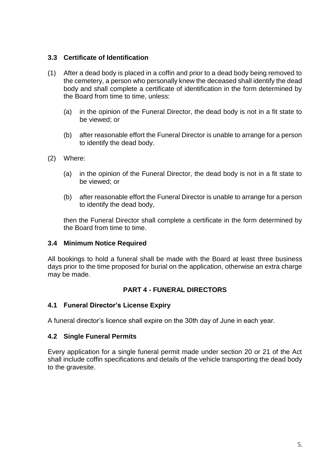#### <span id="page-5-0"></span>**3.3 Certificate of Identification**

- (1) After a dead body is placed in a coffin and prior to a dead body being removed to the cemetery, a person who personally knew the deceased shall identify the dead body and shall complete a certificate of identification in the form determined by the Board from time to time, unless:
	- (a) in the opinion of the Funeral Director, the dead body is not in a fit state to be viewed; or
	- (b) after reasonable effort the Funeral Director is unable to arrange for a person to identify the dead body.
- (2) Where:
	- (a) in the opinion of the Funeral Director, the dead body is not in a fit state to be viewed; or
	- (b) after reasonable effort the Funeral Director is unable to arrange for a person to identify the dead body,

then the Funeral Director shall complete a certificate in the form determined by the Board from time to time.

#### <span id="page-5-1"></span>**3.4 Minimum Notice Required**

All bookings to hold a funeral shall be made with the Board at least three business days prior to the time proposed for burial on the application, otherwise an extra charge may be made.

#### **PART 4 - FUNERAL DIRECTORS**

#### <span id="page-5-3"></span><span id="page-5-2"></span>**4.1 Funeral Director's License Expiry**

A funeral director's licence shall expire on the 30th day of June in each year.

#### <span id="page-5-4"></span>**4.2 Single Funeral Permits**

Every application for a single funeral permit made under section 20 or 21 of the Act shall include coffin specifications and details of the vehicle transporting the dead body to the gravesite.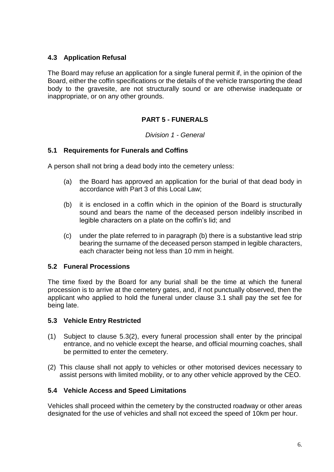#### <span id="page-6-0"></span>**4.3 Application Refusal**

The Board may refuse an application for a single funeral permit if, in the opinion of the Board, either the coffin specifications or the details of the vehicle transporting the dead body to the gravesite, are not structurally sound or are otherwise inadequate or inappropriate, or on any other grounds.

#### **PART 5 - FUNERALS**

*Division 1 - General*

#### <span id="page-6-2"></span><span id="page-6-1"></span>**5.1 Requirements for Funerals and Coffins**

A person shall not bring a dead body into the cemetery unless:

- (a) the Board has approved an application for the burial of that dead body in accordance with Part 3 of this Local Law;
- (b) it is enclosed in a coffin which in the opinion of the Board is structurally sound and bears the name of the deceased person indelibly inscribed in legible characters on a plate on the coffin's lid; and
- (c) under the plate referred to in paragraph (b) there is a substantive lead strip bearing the surname of the deceased person stamped in legible characters, each character being not less than 10 mm in height.

#### <span id="page-6-3"></span>**5.2 Funeral Processions**

The time fixed by the Board for any burial shall be the time at which the funeral procession is to arrive at the cemetery gates, and, if not punctually observed, then the applicant who applied to hold the funeral under clause 3.1 shall pay the set fee for being late.

#### <span id="page-6-4"></span>**5.3 Vehicle Entry Restricted**

- (1) Subject to clause 5.3(2), every funeral procession shall enter by the principal entrance, and no vehicle except the hearse, and official mourning coaches, shall be permitted to enter the cemetery.
- (2) This clause shall not apply to vehicles or other motorised devices necessary to assist persons with limited mobility, or to any other vehicle approved by the CEO.

#### <span id="page-6-5"></span>**5.4 Vehicle Access and Speed Limitations**

Vehicles shall proceed within the cemetery by the constructed roadway or other areas designated for the use of vehicles and shall not exceed the speed of 10km per hour.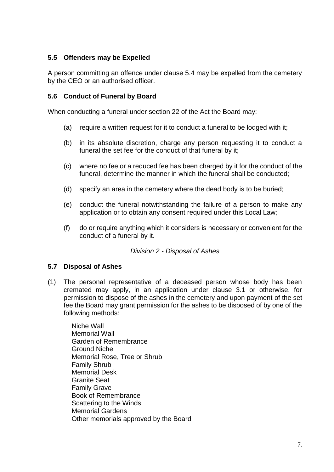#### <span id="page-7-0"></span>**5.5 Offenders may be Expelled**

A person committing an offence under clause 5.4 may be expelled from the cemetery by the CEO or an authorised officer.

#### <span id="page-7-1"></span>**5.6 Conduct of Funeral by Board**

When conducting a funeral under section 22 of the Act the Board may:

- (a) require a written request for it to conduct a funeral to be lodged with it;
- (b) in its absolute discretion, charge any person requesting it to conduct a funeral the set fee for the conduct of that funeral by it;
- (c) where no fee or a reduced fee has been charged by it for the conduct of the funeral, determine the manner in which the funeral shall be conducted;
- (d) specify an area in the cemetery where the dead body is to be buried;
- (e) conduct the funeral notwithstanding the failure of a person to make any application or to obtain any consent required under this Local Law;
- (f) do or require anything which it considers is necessary or convenient for the conduct of a funeral by it.

#### *Division 2 - Disposal of Ashes*

#### <span id="page-7-2"></span>**5.7 Disposal of Ashes**

(1) The personal representative of a deceased person whose body has been cremated may apply, in an application under clause 3.1 or otherwise, for permission to dispose of the ashes in the cemetery and upon payment of the set fee the Board may grant permission for the ashes to be disposed of by one of the following methods:

Niche Wall Memorial Wall Garden of Remembrance Ground Niche Memorial Rose, Tree or Shrub Family Shrub Memorial Desk Granite Seat Family Grave Book of Remembrance Scattering to the Winds Memorial Gardens Other memorials approved by the Board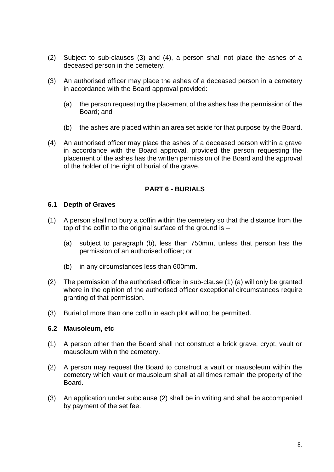- (2) Subject to sub-clauses (3) and (4), a person shall not place the ashes of a deceased person in the cemetery.
- (3) An authorised officer may place the ashes of a deceased person in a cemetery in accordance with the Board approval provided:
	- (a) the person requesting the placement of the ashes has the permission of the Board; and
	- (b) the ashes are placed within an area set aside for that purpose by the Board.
- (4) An authorised officer may place the ashes of a deceased person within a grave in accordance with the Board approval, provided the person requesting the placement of the ashes has the written permission of the Board and the approval of the holder of the right of burial of the grave.

#### **PART 6 - BURIALS**

#### <span id="page-8-1"></span><span id="page-8-0"></span>**6.1 Depth of Graves**

- (1) A person shall not bury a coffin within the cemetery so that the distance from the top of the coffin to the original surface of the ground is –
	- (a) subject to paragraph (b), less than 750mm, unless that person has the permission of an authorised officer; or
	- (b) in any circumstances less than 600mm.
- (2) The permission of the authorised officer in sub-clause (1) (a) will only be granted where in the opinion of the authorised officer exceptional circumstances require granting of that permission.
- (3) Burial of more than one coffin in each plot will not be permitted.

#### <span id="page-8-2"></span>**6.2 Mausoleum, etc**

- (1) A person other than the Board shall not construct a brick grave, crypt, vault or mausoleum within the cemetery.
- (2) A person may request the Board to construct a vault or mausoleum within the cemetery which vault or mausoleum shall at all times remain the property of the Board.
- (3) An application under subclause (2) shall be in writing and shall be accompanied by payment of the set fee.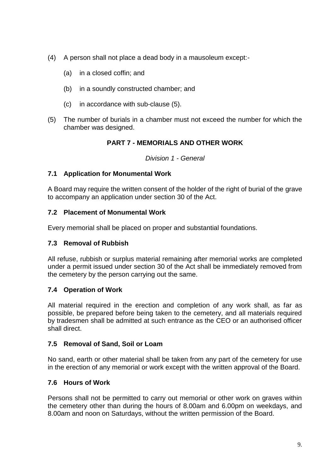- (4) A person shall not place a dead body in a mausoleum except:-
	- (a) in a closed coffin; and
	- (b) in a soundly constructed chamber; and
	- (c) in accordance with sub-clause (5).
- <span id="page-9-0"></span>(5) The number of burials in a chamber must not exceed the number for which the chamber was designed.

#### **PART 7 - MEMORIALS AND OTHER WORK**

*Division 1 - General*

#### <span id="page-9-1"></span>**7.1 Application for Monumental Work**

A Board may require the written consent of the holder of the right of burial of the grave to accompany an application under section 30 of the Act.

#### <span id="page-9-2"></span>**7.2 Placement of Monumental Work**

Every memorial shall be placed on proper and substantial foundations.

#### <span id="page-9-3"></span>**7.3 Removal of Rubbish**

All refuse, rubbish or surplus material remaining after memorial works are completed under a permit issued under section 30 of the Act shall be immediately removed from the cemetery by the person carrying out the same.

#### <span id="page-9-4"></span>**7.4 Operation of Work**

All material required in the erection and completion of any work shall, as far as possible, be prepared before being taken to the cemetery, and all materials required by tradesmen shall be admitted at such entrance as the CEO or an authorised officer shall direct.

#### <span id="page-9-5"></span>**7.5 Removal of Sand, Soil or Loam**

No sand, earth or other material shall be taken from any part of the cemetery for use in the erection of any memorial or work except with the written approval of the Board.

#### <span id="page-9-6"></span>**7.6 Hours of Work**

Persons shall not be permitted to carry out memorial or other work on graves within the cemetery other than during the hours of 8.00am and 6.00pm on weekdays, and 8.00am and noon on Saturdays, without the written permission of the Board.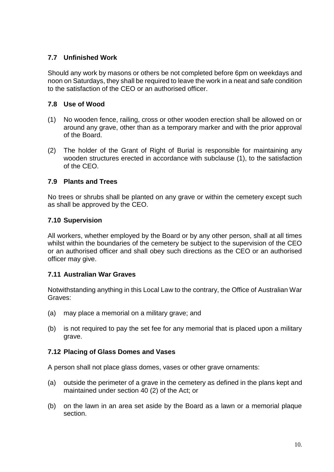#### <span id="page-10-0"></span>**7.7 Unfinished Work**

Should any work by masons or others be not completed before 6pm on weekdays and noon on Saturdays, they shall be required to leave the work in a neat and safe condition to the satisfaction of the CEO or an authorised officer.

#### <span id="page-10-1"></span>**7.8 Use of Wood**

- (1) No wooden fence, railing, cross or other wooden erection shall be allowed on or around any grave, other than as a temporary marker and with the prior approval of the Board.
- (2) The holder of the Grant of Right of Burial is responsible for maintaining any wooden structures erected in accordance with subclause (1), to the satisfaction of the CEO.

#### <span id="page-10-2"></span>**7.9 Plants and Trees**

No trees or shrubs shall be planted on any grave or within the cemetery except such as shall be approved by the CEO.

#### <span id="page-10-3"></span>**7.10 Supervision**

All workers, whether employed by the Board or by any other person, shall at all times whilst within the boundaries of the cemetery be subject to the supervision of the CEO or an authorised officer and shall obey such directions as the CEO or an authorised officer may give.

#### <span id="page-10-4"></span>**7.11 Australian War Graves**

Notwithstanding anything in this Local Law to the contrary, the Office of Australian War Graves:

- (a) may place a memorial on a military grave; and
- (b) is not required to pay the set fee for any memorial that is placed upon a military grave.

#### <span id="page-10-5"></span>**7.12 Placing of Glass Domes and Vases**

A person shall not place glass domes, vases or other grave ornaments:

- (a) outside the perimeter of a grave in the cemetery as defined in the plans kept and maintained under section 40 (2) of the Act; or
- (b) on the lawn in an area set aside by the Board as a lawn or a memorial plaque section.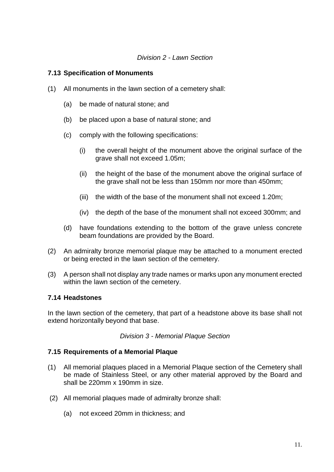#### *Division 2 - Lawn Section*

#### <span id="page-11-0"></span>**7.13 Specification of Monuments**

- (1) All monuments in the lawn section of a cemetery shall:
	- (a) be made of natural stone; and
	- (b) be placed upon a base of natural stone; and
	- (c) comply with the following specifications:
		- (i) the overall height of the monument above the original surface of the grave shall not exceed 1.05m;
		- (ii) the height of the base of the monument above the original surface of the grave shall not be less than 150mm nor more than 450mm;
		- (iii) the width of the base of the monument shall not exceed 1.20m;
		- (iv) the depth of the base of the monument shall not exceed 300mm; and
	- (d) have foundations extending to the bottom of the grave unless concrete beam foundations are provided by the Board.
- (2) An admiralty bronze memorial plaque may be attached to a monument erected or being erected in the lawn section of the cemetery.
- (3) A person shall not display any trade names or marks upon any monument erected within the lawn section of the cemetery.

#### <span id="page-11-1"></span>**7.14 Headstones**

In the lawn section of the cemetery, that part of a headstone above its base shall not extend horizontally beyond that base.

*Division 3 - Memorial Plaque Section*

#### <span id="page-11-2"></span>**7.15 Requirements of a Memorial Plaque**

- (1) All memorial plaques placed in a Memorial Plaque section of the Cemetery shall be made of Stainless Steel, or any other material approved by the Board and shall be 220mm x 190mm in size.
- (2) All memorial plaques made of admiralty bronze shall:
	- (a) not exceed 20mm in thickness; and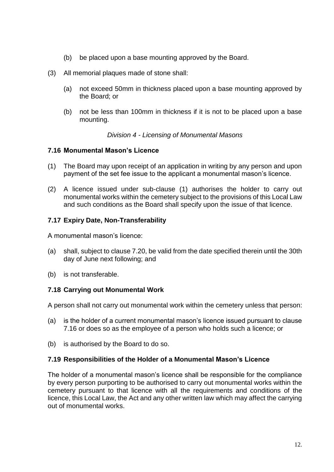- (b) be placed upon a base mounting approved by the Board.
- (3) All memorial plaques made of stone shall:
	- (a) not exceed 50mm in thickness placed upon a base mounting approved by the Board; or
	- (b) not be less than 100mm in thickness if it is not to be placed upon a base mounting.

#### *Division 4 - Licensing of Monumental Masons*

#### <span id="page-12-0"></span>**7.16 Monumental Mason's Licence**

- (1) The Board may upon receipt of an application in writing by any person and upon payment of the set fee issue to the applicant a monumental mason's licence.
- (2) A licence issued under sub-clause (1) authorises the holder to carry out monumental works within the cemetery subject to the provisions of this Local Law and such conditions as the Board shall specify upon the issue of that licence.

#### <span id="page-12-1"></span>**7.17 Expiry Date, Non-Transferability**

A monumental mason's licence:

- (a) shall, subject to clause 7.20, be valid from the date specified therein until the 30th day of June next following; and
- (b) is not transferable.

#### <span id="page-12-2"></span>**7.18 Carrying out Monumental Work**

A person shall not carry out monumental work within the cemetery unless that person:

- (a) is the holder of a current monumental mason's licence issued pursuant to clause 7.16 or does so as the employee of a person who holds such a licence; or
- (b) is authorised by the Board to do so.

#### <span id="page-12-3"></span>**7.19 Responsibilities of the Holder of a Monumental Mason's Licence**

The holder of a monumental mason's licence shall be responsible for the compliance by every person purporting to be authorised to carry out monumental works within the cemetery pursuant to that licence with all the requirements and conditions of the licence, this Local Law, the Act and any other written law which may affect the carrying out of monumental works.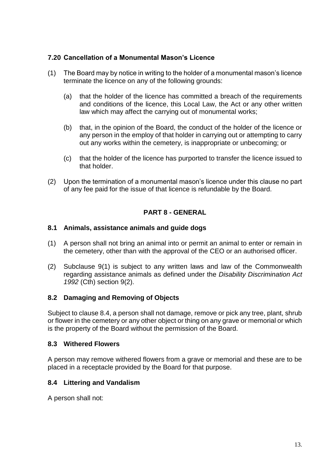#### <span id="page-13-0"></span>**7.20 Cancellation of a Monumental Mason's Licence**

- (1) The Board may by notice in writing to the holder of a monumental mason's licence terminate the licence on any of the following grounds:
	- (a) that the holder of the licence has committed a breach of the requirements and conditions of the licence, this Local Law, the Act or any other written law which may affect the carrying out of monumental works;
	- (b) that, in the opinion of the Board, the conduct of the holder of the licence or any person in the employ of that holder in carrying out or attempting to carry out any works within the cemetery, is inappropriate or unbecoming; or
	- (c) that the holder of the licence has purported to transfer the licence issued to that holder.
- (2) Upon the termination of a monumental mason's licence under this clause no part of any fee paid for the issue of that licence is refundable by the Board.

#### **PART 8 - GENERAL**

#### <span id="page-13-1"></span>**8.1 Animals, assistance animals and guide dogs**

- (1) A person shall not bring an animal into or permit an animal to enter or remain in the cemetery, other than with the approval of the CEO or an authorised officer.
- (2) Subclause 9(1) is subject to any written laws and law of the Commonwealth regarding assistance animals as defined under the *Disability Discrimination Act 1992* (Cth) section 9(2).

#### <span id="page-13-2"></span>**8.2 Damaging and Removing of Objects**

Subject to clause 8.4, a person shall not damage, remove or pick any tree, plant, shrub or flower in the cemetery or any other object or thing on any grave or memorial or which is the property of the Board without the permission of the Board.

#### <span id="page-13-3"></span>**8.3 Withered Flowers**

A person may remove withered flowers from a grave or memorial and these are to be placed in a receptacle provided by the Board for that purpose.

#### <span id="page-13-4"></span>**8.4 Littering and Vandalism**

A person shall not: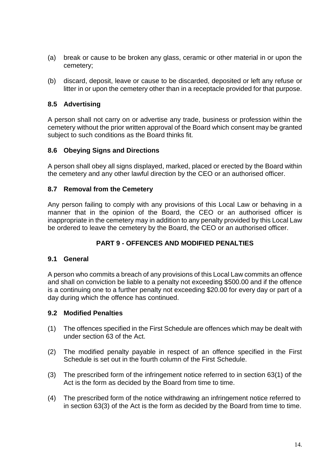- (a) break or cause to be broken any glass, ceramic or other material in or upon the cemetery;
- (b) discard, deposit, leave or cause to be discarded, deposited or left any refuse or litter in or upon the cemetery other than in a receptacle provided for that purpose.

#### <span id="page-14-0"></span>**8.5 Advertising**

A person shall not carry on or advertise any trade, business or profession within the cemetery without the prior written approval of the Board which consent may be granted subject to such conditions as the Board thinks fit.

#### <span id="page-14-1"></span>**8.6 Obeying Signs and Directions**

A person shall obey all signs displayed, marked, placed or erected by the Board within the cemetery and any other lawful direction by the CEO or an authorised officer.

#### <span id="page-14-2"></span>**8.7 Removal from the Cemetery**

Any person failing to comply with any provisions of this Local Law or behaving in a manner that in the opinion of the Board, the CEO or an authorised officer is inappropriate in the cemetery may in addition to any penalty provided by this Local Law be ordered to leave the cemetery by the Board, the CEO or an authorised officer.

#### **PART 9 - OFFENCES AND MODIFIED PENALTIES**

#### <span id="page-14-4"></span><span id="page-14-3"></span>**9.1 General**

A person who commits a breach of any provisions of this Local Law commits an offence and shall on conviction be liable to a penalty not exceeding \$500.00 and if the offence is a continuing one to a further penalty not exceeding \$20.00 for every day or part of a day during which the offence has continued.

#### <span id="page-14-5"></span>**9.2 Modified Penalties**

- (1) The offences specified in the First Schedule are offences which may be dealt with under section 63 of the Act.
- (2) The modified penalty payable in respect of an offence specified in the First Schedule is set out in the fourth column of the First Schedule.
- (3) The prescribed form of the infringement notice referred to in section 63(1) of the Act is the form as decided by the Board from time to time.
- (4) The prescribed form of the notice withdrawing an infringement notice referred to in section 63(3) of the Act is the form as decided by the Board from time to time.